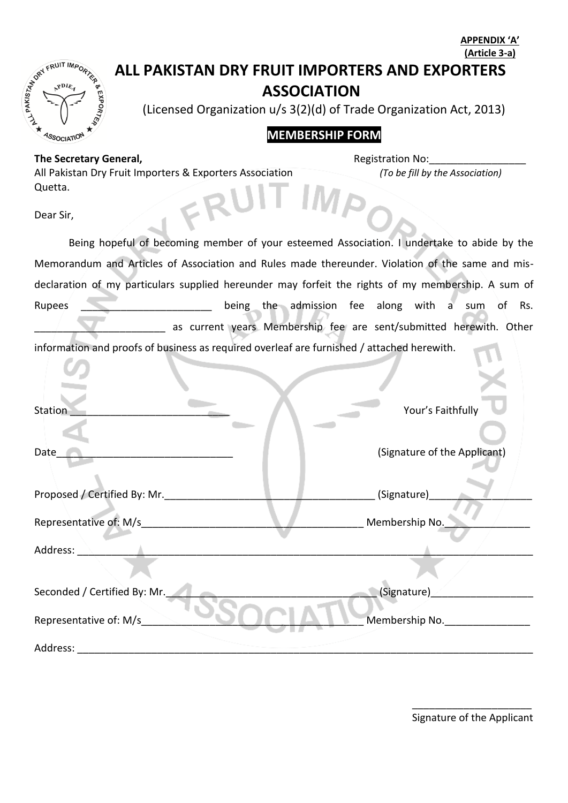|                                                                                            |                                                                                                    | (Article 3-a)                                                      |  |
|--------------------------------------------------------------------------------------------|----------------------------------------------------------------------------------------------------|--------------------------------------------------------------------|--|
|                                                                                            | ALL PAKISTAN DRY FRUIT IMPORTERS AND EXPORTERS                                                     |                                                                    |  |
|                                                                                            | <b>ASSOCIATION</b>                                                                                 |                                                                    |  |
|                                                                                            | ALL DAY FR<br>(Licensed Organization u/s 3(2)(d) of Trade Organization Act, 2013)                  |                                                                    |  |
|                                                                                            | <b>MEMBERSHIP FORM</b><br><sup>1</sup> SSOCIATIO                                                   |                                                                    |  |
|                                                                                            | The Secretary General,                                                                             | <b>Registration No:</b>                                            |  |
|                                                                                            | All Pakistan Dry Fruit Importers & Exporters Association<br>Quetta.                                | (To be fill by the Association)                                    |  |
|                                                                                            |                                                                                                    |                                                                    |  |
|                                                                                            | Dear Sir,                                                                                          |                                                                    |  |
|                                                                                            | Being hopeful of becoming member of your esteemed Association. I undertake to abide by the         |                                                                    |  |
|                                                                                            | Memorandum and Articles of Association and Rules made thereunder. Violation of the same and mis-   |                                                                    |  |
|                                                                                            | declaration of my particulars supplied hereunder may forfeit the rights of my membership. A sum of |                                                                    |  |
|                                                                                            | Rupees                                                                                             | being the admission fee along with a<br>$\circ$ f<br>Rs.<br>sum    |  |
|                                                                                            |                                                                                                    | as current years Membership fee are sent/submitted herewith. Other |  |
| information and proofs of business as required overleaf are furnished / attached herewith. |                                                                                                    |                                                                    |  |
|                                                                                            |                                                                                                    |                                                                    |  |
|                                                                                            |                                                                                                    |                                                                    |  |
|                                                                                            | Station                                                                                            | Your's Faithfully                                                  |  |
|                                                                                            |                                                                                                    |                                                                    |  |
|                                                                                            | Date                                                                                               | (Signature of the Applicant)                                       |  |
|                                                                                            |                                                                                                    |                                                                    |  |
|                                                                                            | Proposed / Certified By: Mr.                                                                       | (Signature)                                                        |  |
|                                                                                            | Representative of: M/s_                                                                            | Membership No.                                                     |  |
|                                                                                            | Address:                                                                                           |                                                                    |  |
|                                                                                            |                                                                                                    |                                                                    |  |
|                                                                                            | Seconded / Certified By: Mr.                                                                       | (Signature)                                                        |  |
|                                                                                            |                                                                                                    |                                                                    |  |
|                                                                                            | Representative of: M/s                                                                             | Membership No.                                                     |  |
|                                                                                            |                                                                                                    |                                                                    |  |
|                                                                                            |                                                                                                    |                                                                    |  |

\_\_\_\_\_\_\_\_\_\_\_\_\_\_\_\_\_\_\_\_\_ Signature of the Applicant

**APPENDIX 'A'**